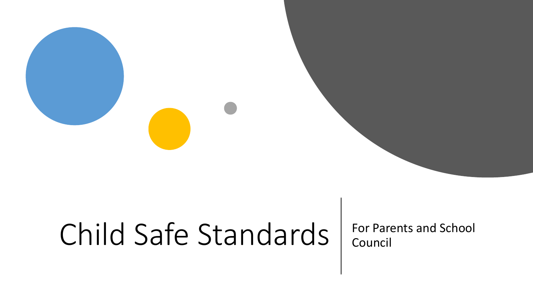# Child Safe Standards | For Parents and School

Council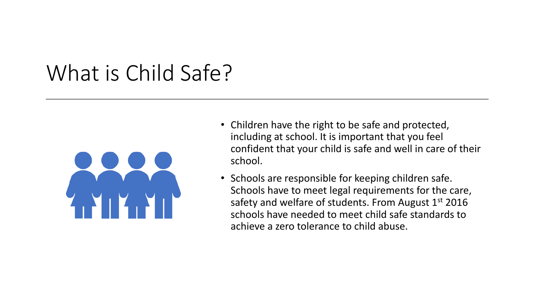#### What is Child Safe?



- Children have the right to be safe and protected, including at school. It is important that you feel confident that your child is safe and well in care of their school.
- Schools are responsible for keeping children safe. Schools have to meet legal requirements for the care, safety and welfare of students. From August 1st 2016 schools have needed to meet child safe standards to achieve a zero tolerance to child abuse.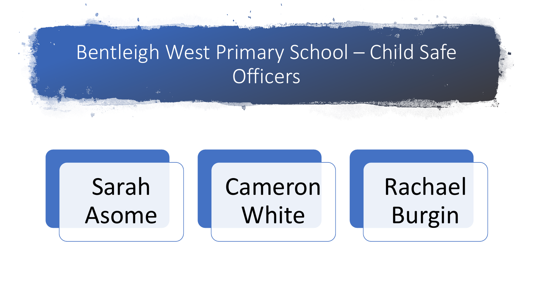#### Bentleigh West Primary School – Child Safe **Officers**

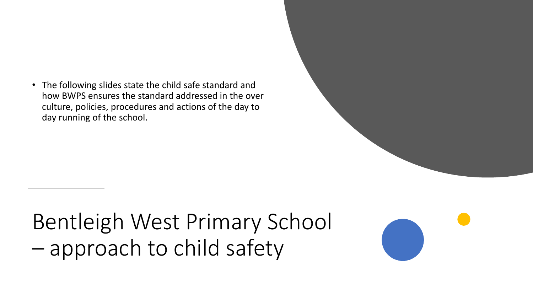• The following slides state the child safe standard and how BWPS ensures the standard addressed in the over culture, policies, procedures and actions of the day to day running of the school.

### Bentleigh West Primary School – approach to child safety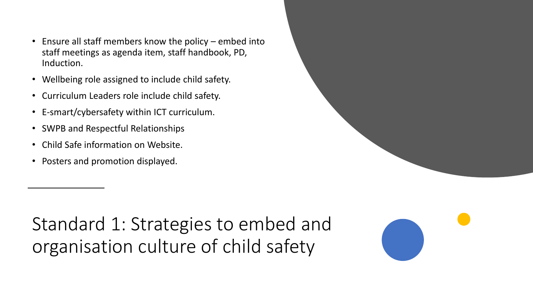- Ensure all staff members know the policy embed into staff meetings as agenda item, staff handbook, PD, Induction.
- Wellbeing role assigned to include child safety.
- Curriculum Leaders role include child safety.
- E-smart/cybersafety within ICT curriculum.
- SWPB and Respectful Relationships
- Child Safe information on Website.
- Posters and promotion displayed.

Standard 1: Strategies to embed and organisation culture of child safety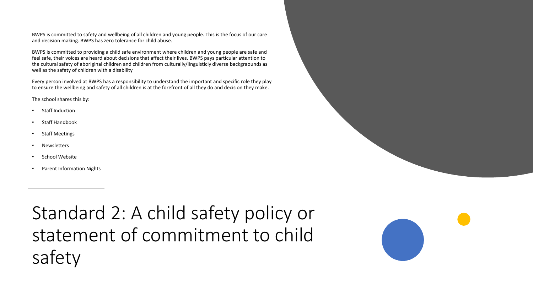BWPS is committed to safety and wellbeing of all children and young people. This is the focus of our care and decision making. BWPS has zero tolerance for child abuse.

BWPS is committed to providing a child safe environment where children and young people are safe and feel safe, their voices are heard about decisions that affect their lives. BWPS pays particular attention to the cultural safety of aboriginal children and children from culturally/linguisticly diverse backgraounds as well as the safety of children with a disability

Every person involved at BWPS has a responsibility to understand the important and specific role they play to ensure the wellbeing and safety of all children is at the forefront of all they do and decision they make.

The school shares this by:

- Staff Induction
- Staff Handbook
- Staff Meetings
- **Newsletters**
- School Website
- Parent Information Nights

Standard 2: A child safety policy or statement of commitment to child safety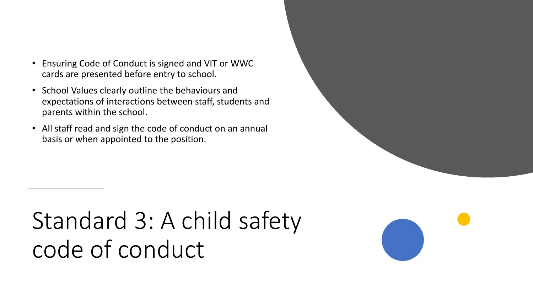- Ensuring Code of Conduct is signed and VIT or WWC cards are presented before entry to school.
- School Values clearly outline the behaviours and expectations of interactions between staff, students and parents within the school.
- All staff read and sign the code of conduct on an annual basis or when appointed to the position.

## Standard 3: A child safety code of conduct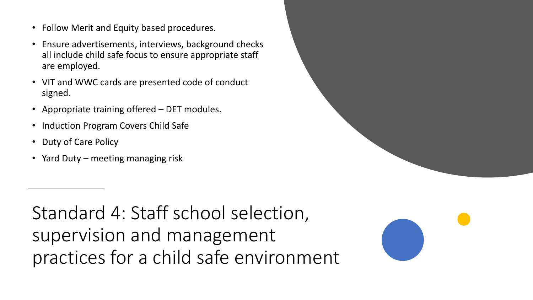- Follow Merit and Equity based procedures.
- Ensure advertisements, interviews, background checks all include child safe focus to ensure appropriate staff are employed.
- VIT and WWC cards are presented code of conduct signed.
- Appropriate training offered DET modules.
- Induction Program Covers Child Safe
- Duty of Care Policy
- Yard Duty meeting managing risk

Standard 4: Staff school selection, supervision and management practices for a child safe environment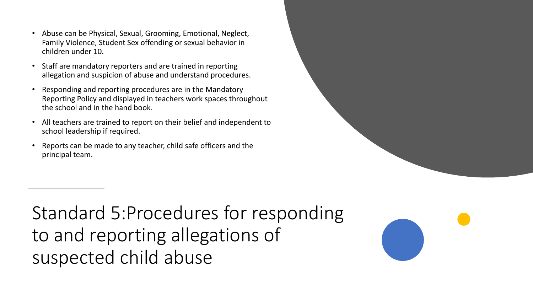- Abuse can be Physical, Sexual, Grooming, Emotional, Neglect, Family Violence, Student Sex offending or sexual behavior in children under 10.
- Staff are mandatory reporters and are trained in reporting allegation and suspicion of abuse and understand procedures.
- Responding and reporting procedures are in the Mandatory Reporting Policy and displayed in teachers work spaces throughout the school and in the hand book.
- All teachers are trained to report on their belief and independent to school leadership if required.
- Reports can be made to any teacher, child safe officers and the principal team.

Standard 5:Procedures for responding to and reporting allegations of suspected child abuse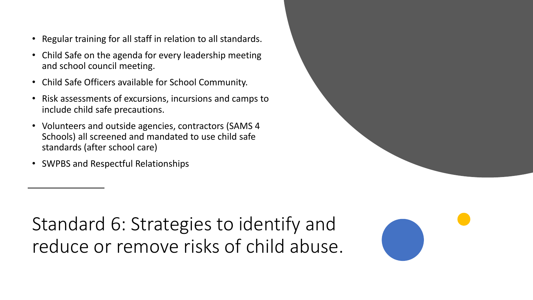- Regular training for all staff in relation to all standards.
- Child Safe on the agenda for every leadership meeting and school council meeting.
- Child Safe Officers available for School Community.
- Risk assessments of excursions, incursions and camps to include child safe precautions.
- Volunteers and outside agencies, contractors (SAMS 4 Schools) all screened and mandated to use child safe standards (after school care)
- SWPBS and Respectful Relationships

Standard 6: Strategies to identify and reduce or remove risks of child abuse.